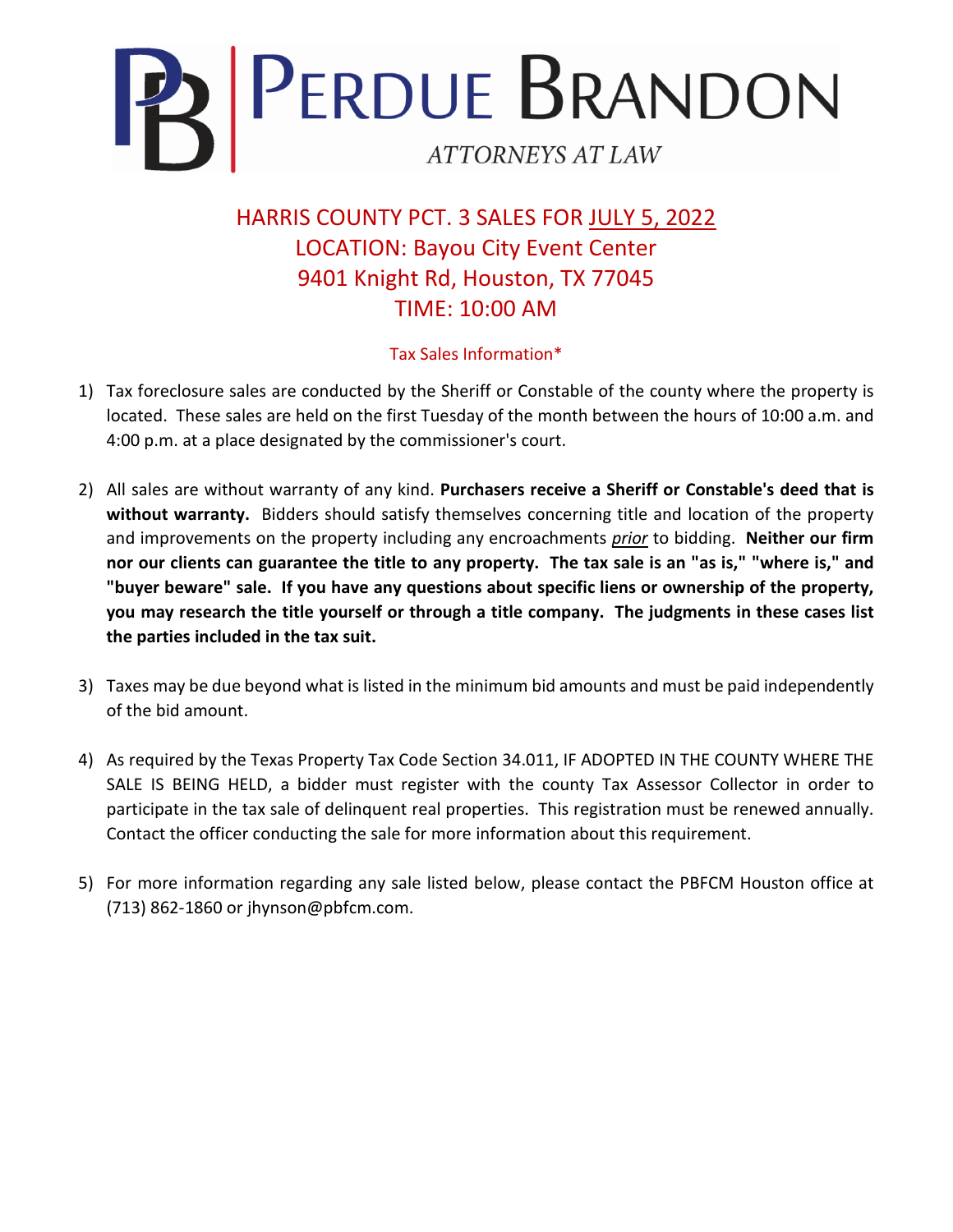

HARRIS COUNTY PCT. 3 SALES FOR JULY 5, 2022 LOCATION: Bayou City Event Center 9401 Knight Rd, Houston, TX 77045 TIME: 10:00 AM

## Tax Sales Information\*

- 1) Tax foreclosure sales are conducted by the Sheriff or Constable of the county where the property is located. These sales are held on the first Tuesday of the month between the hours of 10:00 a.m. and 4:00 p.m. at a place designated by the commissioner's court.
- 2) All sales are without warranty of any kind. **Purchasers receive a Sheriff or Constable's deed that is without warranty.** Bidders should satisfy themselves concerning title and location of the property and improvements on the property including any encroachments *prior* to bidding. **Neither our firm nor our clients can guarantee the title to any property. The tax sale is an "as is," "where is," and "buyer beware" sale. If you have any questions about specific liens or ownership of the property, you may research the title yourself or through a title company. The judgments in these cases list the parties included in the tax suit.**
- 3) Taxes may be due beyond what is listed in the minimum bid amounts and must be paid independently of the bid amount.
- 4) As required by the Texas Property Tax Code Section 34.011, IF ADOPTED IN THE COUNTY WHERE THE SALE IS BEING HELD, a bidder must register with the county Tax Assessor Collector in order to participate in the tax sale of delinquent real properties. This registration must be renewed annually. Contact the officer conducting the sale for more information about this requirement.
- 5) For more information regarding any sale listed below, please contact the PBFCM Houston office at (713) 862-1860 or jhynson@pbfcm.com.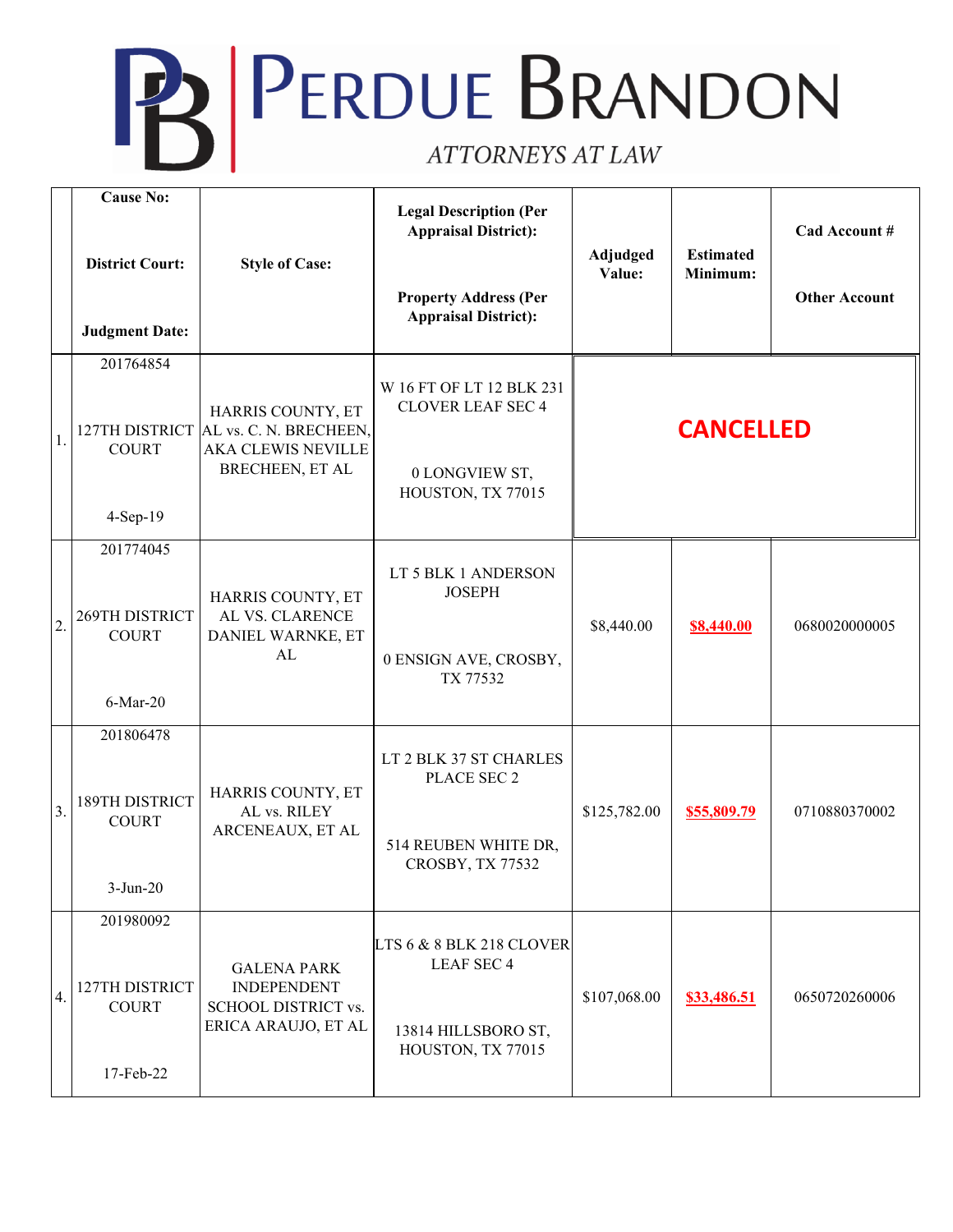## **PERDUE BRANDON** ATTORNEYS AT LAW

|                  | <b>Cause No:</b><br><b>District Court:</b><br><b>Judgment Date:</b> | <b>Style of Case:</b>                                                                                      | <b>Legal Description (Per</b><br><b>Appraisal District):</b><br><b>Property Address (Per</b><br><b>Appraisal District):</b> | Adjudged<br>Value: | <b>Estimated</b><br>Minimum: | Cad Account #<br><b>Other Account</b> |
|------------------|---------------------------------------------------------------------|------------------------------------------------------------------------------------------------------------|-----------------------------------------------------------------------------------------------------------------------------|--------------------|------------------------------|---------------------------------------|
| 1.               | 201764854<br><b>COURT</b><br>$4-Sep-19$                             | HARRIS COUNTY, ET<br>127TH DISTRICT AL vs. C. N. BRECHEEN,<br><b>AKA CLEWIS NEVILLE</b><br>BRECHEEN, ET AL | W 16 FT OF LT 12 BLK 231<br><b>CLOVER LEAF SEC 4</b><br>0 LONGVIEW ST,<br>HOUSTON, TX 77015                                 | <b>CANCELLED</b>   |                              |                                       |
| $\overline{2}$   | 201774045<br>269TH DISTRICT<br><b>COURT</b><br>$6$ -Mar-20          | HARRIS COUNTY, ET<br>AL VS. CLARENCE<br>DANIEL WARNKE, ET<br>AL                                            | LT 5 BLK 1 ANDERSON<br><b>JOSEPH</b><br>0 ENSIGN AVE, CROSBY,<br>TX 77532                                                   | \$8,440.00         | \$8,440.00                   | 0680020000005                         |
| $\overline{3}$ . | 201806478<br>189TH DISTRICT<br><b>COURT</b><br>$3-Jun-20$           | HARRIS COUNTY, ET<br>AL vs. RILEY<br>ARCENEAUX, ET AL                                                      | LT 2 BLK 37 ST CHARLES<br>PLACE SEC 2<br>514 REUBEN WHITE DR,<br>CROSBY, TX 77532                                           | \$125,782.00       | \$55,809.79                  | 0710880370002                         |
| 4.               | 201980092<br>127TH DISTRICT<br><b>COURT</b><br>17-Feb-22            | <b>GALENA PARK</b><br><b>INDEPENDENT</b><br><b>SCHOOL DISTRICT vs.</b><br>ERICA ARAUJO, ET AL              | LTS 6 & 8 BLK 218 CLOVER<br><b>LEAF SEC 4</b><br>13814 HILLSBORO ST,<br>HOUSTON, TX 77015                                   | \$107,068.00       | \$33,486.51                  | 0650720260006                         |